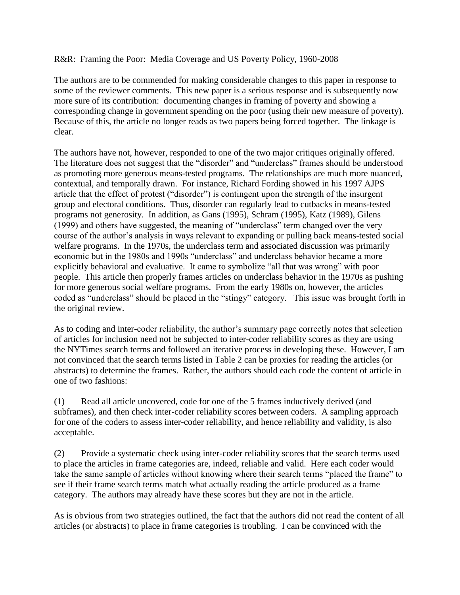## R&R: Framing the Poor: Media Coverage and US Poverty Policy, 1960-2008

The authors are to be commended for making considerable changes to this paper in response to some of the reviewer comments. This new paper is a serious response and is subsequently now more sure of its contribution: documenting changes in framing of poverty and showing a corresponding change in government spending on the poor (using their new measure of poverty). Because of this, the article no longer reads as two papers being forced together. The linkage is clear.

The authors have not, however, responded to one of the two major critiques originally offered. The literature does not suggest that the "disorder" and "underclass" frames should be understood as promoting more generous means-tested programs. The relationships are much more nuanced, contextual, and temporally drawn. For instance, Richard Fording showed in his 1997 AJPS article that the effect of protest ("disorder") is contingent upon the strength of the insurgent group and electoral conditions. Thus, disorder can regularly lead to cutbacks in means-tested programs not generosity. In addition, as Gans (1995), Schram (1995), Katz (1989), Gilens (1999) and others have suggested, the meaning of "underclass" term changed over the very course of the author's analysis in ways relevant to expanding or pulling back means-tested social welfare programs. In the 1970s, the underclass term and associated discussion was primarily economic but in the 1980s and 1990s "underclass" and underclass behavior became a more explicitly behavioral and evaluative. It came to symbolize "all that was wrong" with poor people. This article then properly frames articles on underclass behavior in the 1970s as pushing for more generous social welfare programs. From the early 1980s on, however, the articles coded as "underclass" should be placed in the "stingy" category. This issue was brought forth in the original review.

As to coding and inter-coder reliability, the author's summary page correctly notes that selection of articles for inclusion need not be subjected to inter-coder reliability scores as they are using the NYTimes search terms and followed an iterative process in developing these. However, I am not convinced that the search terms listed in Table 2 can be proxies for reading the articles (or abstracts) to determine the frames. Rather, the authors should each code the content of article in one of two fashions:

(1) Read all article uncovered, code for one of the 5 frames inductively derived (and subframes), and then check inter-coder reliability scores between coders. A sampling approach for one of the coders to assess inter-coder reliability, and hence reliability and validity, is also acceptable.

(2) Provide a systematic check using inter-coder reliability scores that the search terms used to place the articles in frame categories are, indeed, reliable and valid. Here each coder would take the same sample of articles without knowing where their search terms "placed the frame" to see if their frame search terms match what actually reading the article produced as a frame category. The authors may already have these scores but they are not in the article.

As is obvious from two strategies outlined, the fact that the authors did not read the content of all articles (or abstracts) to place in frame categories is troubling. I can be convinced with the